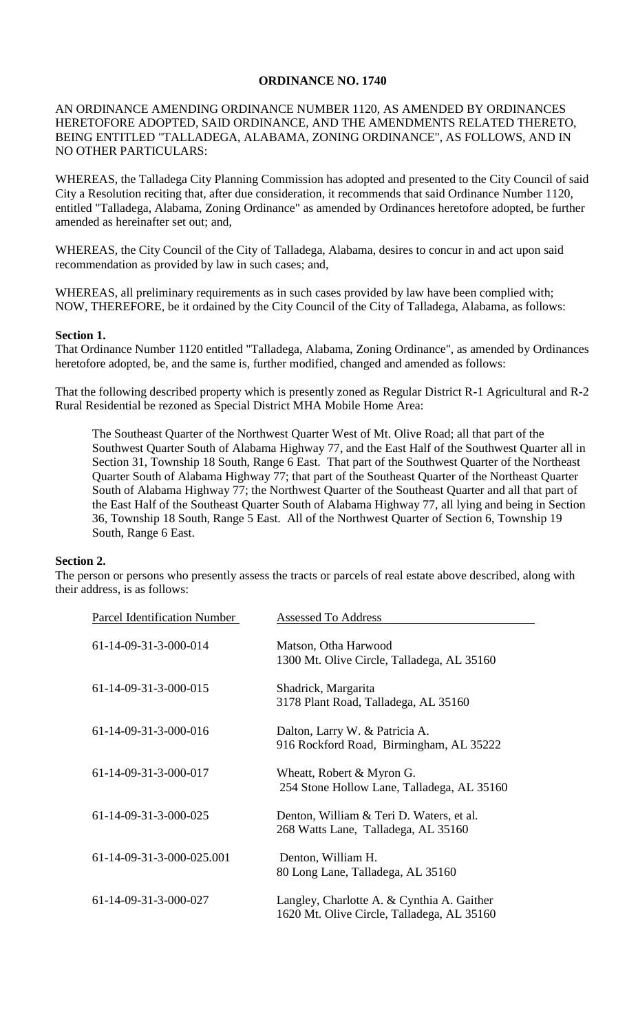### **ORDINANCE NO. 1740**

# AN ORDINANCE AMENDING ORDINANCE NUMBER 1120, AS AMENDED BY ORDINANCES HERETOFORE ADOPTED, SAID ORDINANCE, AND THE AMENDMENTS RELATED THERETO, BEING ENTITLED "TALLADEGA, ALABAMA, ZONING ORDINANCE", AS FOLLOWS, AND IN NO OTHER PARTICULARS:

WHEREAS, the Talladega City Planning Commission has adopted and presented to the City Council of said City a Resolution reciting that, after due consideration, it recommends that said Ordinance Number 1120, entitled "Talladega, Alabama, Zoning Ordinance" as amended by Ordinances heretofore adopted, be further amended as hereinafter set out; and,

WHEREAS, the City Council of the City of Talladega, Alabama, desires to concur in and act upon said recommendation as provided by law in such cases; and,

WHEREAS, all preliminary requirements as in such cases provided by law have been complied with; NOW, THEREFORE, be it ordained by the City Council of the City of Talladega, Alabama, as follows:

#### **Section 1.**

That Ordinance Number 1120 entitled "Talladega, Alabama, Zoning Ordinance", as amended by Ordinances heretofore adopted, be, and the same is, further modified, changed and amended as follows:

That the following described property which is presently zoned as Regular District R-1 Agricultural and R-2 Rural Residential be rezoned as Special District MHA Mobile Home Area:

The Southeast Quarter of the Northwest Quarter West of Mt. Olive Road; all that part of the Southwest Quarter South of Alabama Highway 77, and the East Half of the Southwest Quarter all in Section 31, Township 18 South, Range 6 East. That part of the Southwest Quarter of the Northeast Quarter South of Alabama Highway 77; that part of the Southeast Quarter of the Northeast Quarter South of Alabama Highway 77; the Northwest Quarter of the Southeast Quarter and all that part of the East Half of the Southeast Quarter South of Alabama Highway 77, all lying and being in Section 36, Township 18 South, Range 5 East. All of the Northwest Quarter of Section 6, Township 19 South, Range 6 East.

#### **Section 2.**

The person or persons who presently assess the tracts or parcels of real estate above described, along with their address, is as follows:

| Parcel Identification Number | <b>Assessed To Address</b>                                                               |
|------------------------------|------------------------------------------------------------------------------------------|
| 61-14-09-31-3-000-014        | Matson, Otha Harwood<br>1300 Mt. Olive Circle, Talladega, AL 35160                       |
| 61-14-09-31-3-000-015        | Shadrick, Margarita<br>3178 Plant Road, Talladega, AL 35160                              |
| 61-14-09-31-3-000-016        | Dalton, Larry W. & Patricia A.<br>916 Rockford Road, Birmingham, AL 35222                |
| 61-14-09-31-3-000-017        | Wheatt, Robert & Myron G.<br>254 Stone Hollow Lane, Talladega, AL 35160                  |
| 61-14-09-31-3-000-025        | Denton, William & Teri D. Waters, et al.<br>268 Watts Lane, Talladega, AL 35160          |
| 61-14-09-31-3-000-025.001    | Denton, William H.<br>80 Long Lane, Talladega, AL 35160                                  |
| 61-14-09-31-3-000-027        | Langley, Charlotte A. & Cynthia A. Gaither<br>1620 Mt. Olive Circle, Talladega, AL 35160 |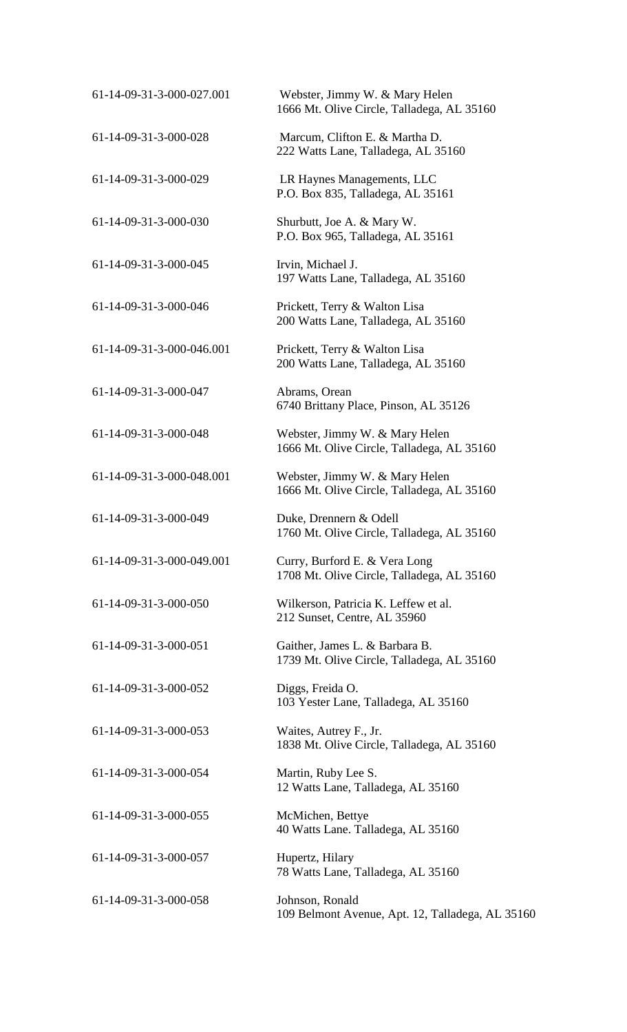| 61-14-09-31-3-000-027.001 | Webster, Jimmy W. & Mary Helen<br>1666 Mt. Olive Circle, Talladega, AL 35160 |
|---------------------------|------------------------------------------------------------------------------|
| 61-14-09-31-3-000-028     | Marcum, Clifton E. & Martha D.<br>222 Watts Lane, Talladega, AL 35160        |
| 61-14-09-31-3-000-029     | LR Haynes Managements, LLC<br>P.O. Box 835, Talladega, AL 35161              |
| 61-14-09-31-3-000-030     | Shurbutt, Joe A. & Mary W.<br>P.O. Box 965, Talladega, AL 35161              |
| 61-14-09-31-3-000-045     | Irvin, Michael J.<br>197 Watts Lane, Talladega, AL 35160                     |
| 61-14-09-31-3-000-046     | Prickett, Terry & Walton Lisa<br>200 Watts Lane, Talladega, AL 35160         |
| 61-14-09-31-3-000-046.001 | Prickett, Terry & Walton Lisa<br>200 Watts Lane, Talladega, AL 35160         |
| 61-14-09-31-3-000-047     | Abrams, Orean<br>6740 Brittany Place, Pinson, AL 35126                       |
| 61-14-09-31-3-000-048     | Webster, Jimmy W. & Mary Helen<br>1666 Mt. Olive Circle, Talladega, AL 35160 |
| 61-14-09-31-3-000-048.001 | Webster, Jimmy W. & Mary Helen<br>1666 Mt. Olive Circle, Talladega, AL 35160 |
| 61-14-09-31-3-000-049     | Duke, Drennern & Odell<br>1760 Mt. Olive Circle, Talladega, AL 35160         |
| 61-14-09-31-3-000-049.001 | Curry, Burford E. & Vera Long<br>1708 Mt. Olive Circle, Talladega, AL 35160  |
| 61-14-09-31-3-000-050     | Wilkerson, Patricia K. Leffew et al.<br>212 Sunset, Centre, AL 35960         |
| 61-14-09-31-3-000-051     | Gaither, James L. & Barbara B.<br>1739 Mt. Olive Circle, Talladega, AL 35160 |
| 61-14-09-31-3-000-052     | Diggs, Freida O.<br>103 Yester Lane, Talladega, AL 35160                     |
| 61-14-09-31-3-000-053     | Waites, Autrey F., Jr.<br>1838 Mt. Olive Circle, Talladega, AL 35160         |
| 61-14-09-31-3-000-054     | Martin, Ruby Lee S.<br>12 Watts Lane, Talladega, AL 35160                    |
| 61-14-09-31-3-000-055     | McMichen, Bettye<br>40 Watts Lane. Talladega, AL 35160                       |
| 61-14-09-31-3-000-057     | Hupertz, Hilary<br>78 Watts Lane, Talladega, AL 35160                        |
| 61-14-09-31-3-000-058     | Johnson, Ronald<br>109 Belmont Avenue, Apt. 12, Talladega, AL 35160          |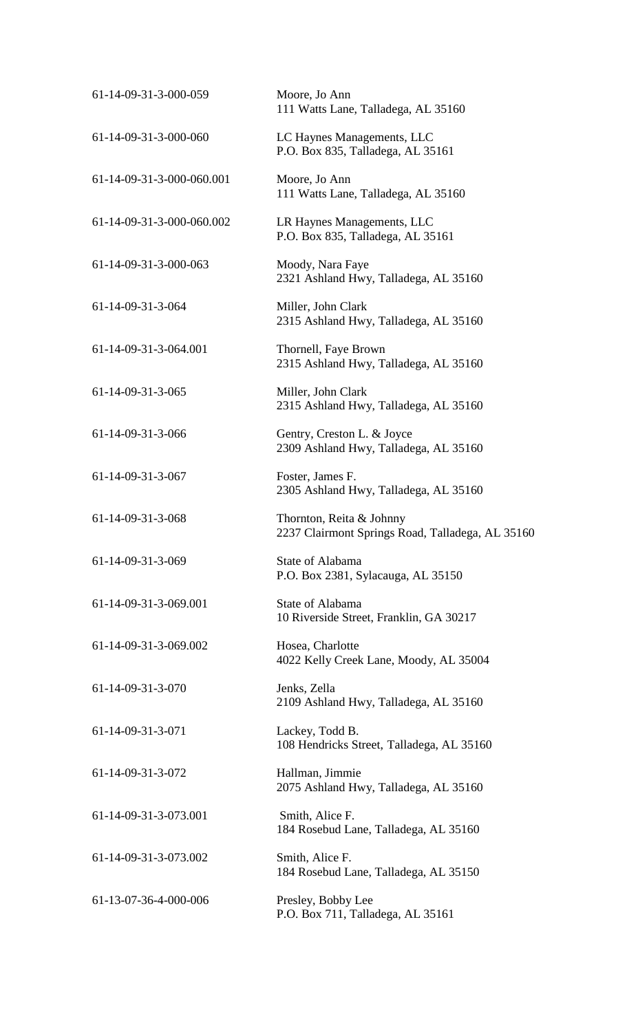| 61-14-09-31-3-000-059     | Moore, Jo Ann<br>111 Watts Lane, Talladega, AL 35160                         |
|---------------------------|------------------------------------------------------------------------------|
| 61-14-09-31-3-000-060     | LC Haynes Managements, LLC<br>P.O. Box 835, Talladega, AL 35161              |
| 61-14-09-31-3-000-060.001 | Moore, Jo Ann<br>111 Watts Lane, Talladega, AL 35160                         |
| 61-14-09-31-3-000-060.002 | LR Haynes Managements, LLC<br>P.O. Box 835, Talladega, AL 35161              |
| 61-14-09-31-3-000-063     | Moody, Nara Faye<br>2321 Ashland Hwy, Talladega, AL 35160                    |
| 61-14-09-31-3-064         | Miller, John Clark<br>2315 Ashland Hwy, Talladega, AL 35160                  |
| 61-14-09-31-3-064.001     | Thornell, Faye Brown<br>2315 Ashland Hwy, Talladega, AL 35160                |
| 61-14-09-31-3-065         | Miller, John Clark<br>2315 Ashland Hwy, Talladega, AL 35160                  |
| 61-14-09-31-3-066         | Gentry, Creston L. & Joyce<br>2309 Ashland Hwy, Talladega, AL 35160          |
| 61-14-09-31-3-067         | Foster, James F.<br>2305 Ashland Hwy, Talladega, AL 35160                    |
| 61-14-09-31-3-068         | Thornton, Reita & Johnny<br>2237 Clairmont Springs Road, Talladega, AL 35160 |
| $61-14-09-31-3-069$       | State of Alabama<br>P.O. Box 2381, Sylacauga, AL 35150                       |
| 61-14-09-31-3-069.001     | State of Alabama<br>10 Riverside Street, Franklin, GA 30217                  |
| 61-14-09-31-3-069.002     | Hosea, Charlotte<br>4022 Kelly Creek Lane, Moody, AL 35004                   |
| 61-14-09-31-3-070         | Jenks, Zella<br>2109 Ashland Hwy, Talladega, AL 35160                        |
| 61-14-09-31-3-071         | Lackey, Todd B.<br>108 Hendricks Street, Talladega, AL 35160                 |
| 61-14-09-31-3-072         | Hallman, Jimmie<br>2075 Ashland Hwy, Talladega, AL 35160                     |
| 61-14-09-31-3-073.001     | Smith, Alice F.<br>184 Rosebud Lane, Talladega, AL 35160                     |
| 61-14-09-31-3-073.002     | Smith, Alice F.<br>184 Rosebud Lane, Talladega, AL 35150                     |
| 61-13-07-36-4-000-006     | Presley, Bobby Lee<br>P.O. Box 711, Talladega, AL 35161                      |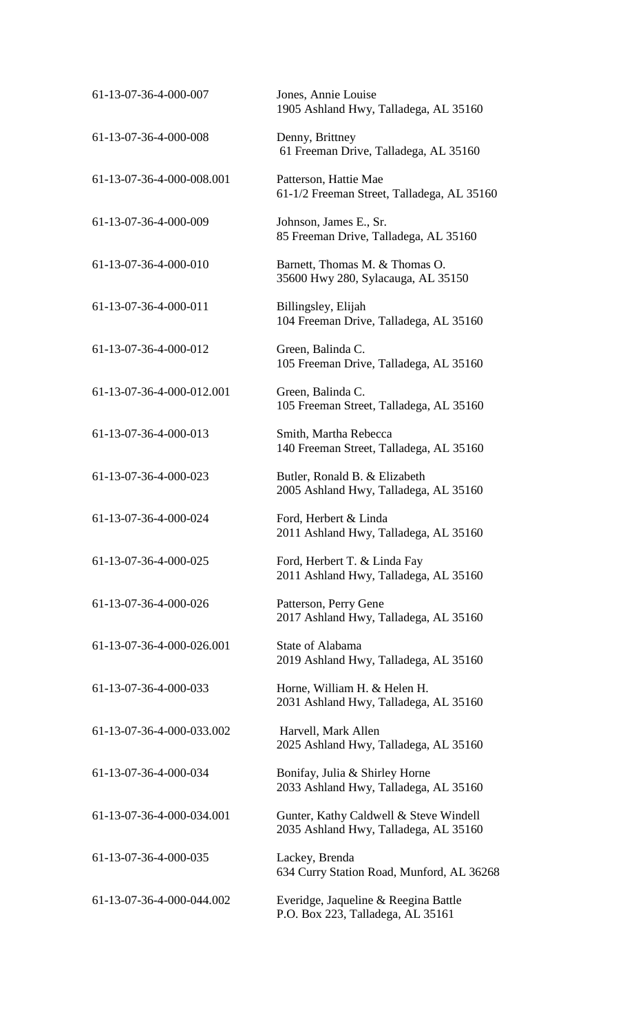| 61-13-07-36-4-000-007     | Jones, Annie Louise<br>1905 Ashland Hwy, Talladega, AL 35160                    |
|---------------------------|---------------------------------------------------------------------------------|
| 61-13-07-36-4-000-008     | Denny, Brittney<br>61 Freeman Drive, Talladega, AL 35160                        |
| 61-13-07-36-4-000-008.001 | Patterson, Hattie Mae<br>61-1/2 Freeman Street, Talladega, AL 35160             |
| 61-13-07-36-4-000-009     | Johnson, James E., Sr.<br>85 Freeman Drive, Talladega, AL 35160                 |
| 61-13-07-36-4-000-010     | Barnett, Thomas M. & Thomas O.<br>35600 Hwy 280, Sylacauga, AL 35150            |
| 61-13-07-36-4-000-011     | Billingsley, Elijah<br>104 Freeman Drive, Talladega, AL 35160                   |
| 61-13-07-36-4-000-012     | Green, Balinda C.<br>105 Freeman Drive, Talladega, AL 35160                     |
| 61-13-07-36-4-000-012.001 | Green, Balinda C.<br>105 Freeman Street, Talladega, AL 35160                    |
| 61-13-07-36-4-000-013     | Smith, Martha Rebecca<br>140 Freeman Street, Talladega, AL 35160                |
| 61-13-07-36-4-000-023     | Butler, Ronald B. & Elizabeth<br>2005 Ashland Hwy, Talladega, AL 35160          |
| 61-13-07-36-4-000-024     | Ford, Herbert & Linda<br>2011 Ashland Hwy, Talladega, AL 35160                  |
| 61-13-07-36-4-000-025     | Ford, Herbert T. & Linda Fay<br>2011 Ashland Hwy, Talladega, AL 35160           |
| 61-13-07-36-4-000-026     | Patterson, Perry Gene<br>2017 Ashland Hwy, Talladega, AL 35160                  |
| 61-13-07-36-4-000-026.001 | State of Alabama<br>2019 Ashland Hwy, Talladega, AL 35160                       |
| 61-13-07-36-4-000-033     | Horne, William H. & Helen H.<br>2031 Ashland Hwy, Talladega, AL 35160           |
| 61-13-07-36-4-000-033.002 | Harvell, Mark Allen<br>2025 Ashland Hwy, Talladega, AL 35160                    |
| 61-13-07-36-4-000-034     | Bonifay, Julia & Shirley Horne<br>2033 Ashland Hwy, Talladega, AL 35160         |
| 61-13-07-36-4-000-034.001 | Gunter, Kathy Caldwell & Steve Windell<br>2035 Ashland Hwy, Talladega, AL 35160 |
| 61-13-07-36-4-000-035     | Lackey, Brenda<br>634 Curry Station Road, Munford, AL 36268                     |
| 61-13-07-36-4-000-044.002 | Everidge, Jaqueline & Reegina Battle<br>P.O. Box 223, Talladega, AL 35161       |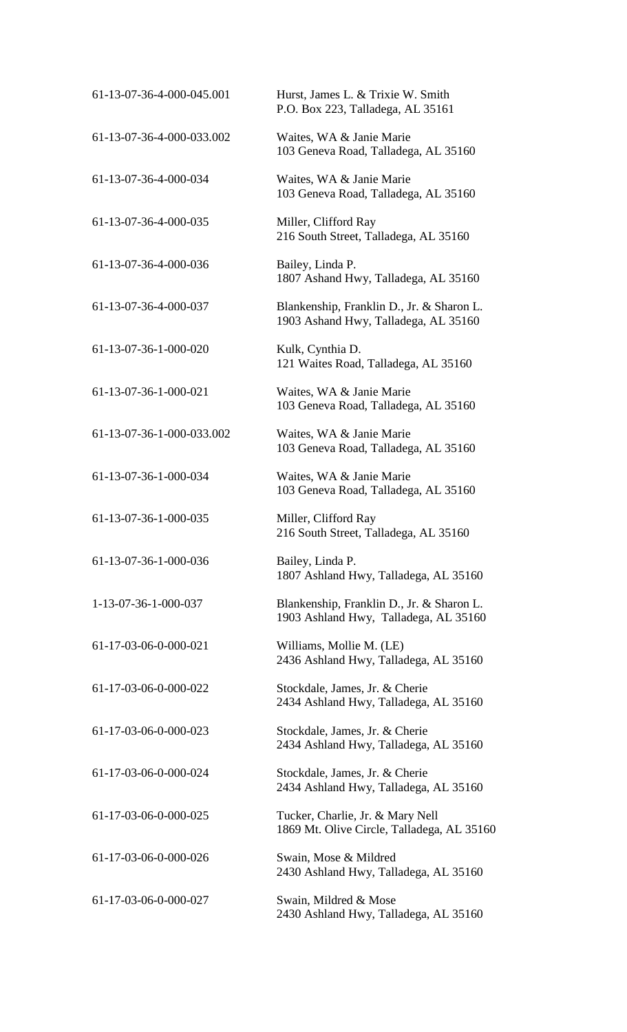| 61-13-07-36-4-000-045.001 | Hurst, James L. & Trixie W. Smith<br>P.O. Box 223, Talladega, AL 35161             |
|---------------------------|------------------------------------------------------------------------------------|
| 61-13-07-36-4-000-033.002 | Waites, WA & Janie Marie<br>103 Geneva Road, Talladega, AL 35160                   |
| 61-13-07-36-4-000-034     | Waites, WA & Janie Marie<br>103 Geneva Road, Talladega, AL 35160                   |
| 61-13-07-36-4-000-035     | Miller, Clifford Ray<br>216 South Street, Talladega, AL 35160                      |
| 61-13-07-36-4-000-036     | Bailey, Linda P.<br>1807 Ashand Hwy, Talladega, AL 35160                           |
| 61-13-07-36-4-000-037     | Blankenship, Franklin D., Jr. & Sharon L.<br>1903 Ashand Hwy, Talladega, AL 35160  |
| 61-13-07-36-1-000-020     | Kulk, Cynthia D.<br>121 Waites Road, Talladega, AL 35160                           |
| 61-13-07-36-1-000-021     | Waites, WA & Janie Marie<br>103 Geneva Road, Talladega, AL 35160                   |
| 61-13-07-36-1-000-033.002 | Waites, WA & Janie Marie<br>103 Geneva Road, Talladega, AL 35160                   |
| 61-13-07-36-1-000-034     | Waites, WA & Janie Marie<br>103 Geneva Road, Talladega, AL 35160                   |
| 61-13-07-36-1-000-035     | Miller, Clifford Ray<br>216 South Street, Talladega, AL 35160                      |
| 61-13-07-36-1-000-036     | Bailey, Linda P.<br>1807 Ashland Hwy, Talladega, AL 35160                          |
| 1-13-07-36-1-000-037      | Blankenship, Franklin D., Jr. & Sharon L.<br>1903 Ashland Hwy, Talladega, AL 35160 |
| 61-17-03-06-0-000-021     | Williams, Mollie M. (LE)<br>2436 Ashland Hwy, Talladega, AL 35160                  |
| 61-17-03-06-0-000-022     | Stockdale, James, Jr. & Cherie<br>2434 Ashland Hwy, Talladega, AL 35160            |
| 61-17-03-06-0-000-023     | Stockdale, James, Jr. & Cherie<br>2434 Ashland Hwy, Talladega, AL 35160            |
| 61-17-03-06-0-000-024     | Stockdale, James, Jr. & Cherie<br>2434 Ashland Hwy, Talladega, AL 35160            |
| 61-17-03-06-0-000-025     | Tucker, Charlie, Jr. & Mary Nell<br>1869 Mt. Olive Circle, Talladega, AL 35160     |
| 61-17-03-06-0-000-026     | Swain, Mose & Mildred<br>2430 Ashland Hwy, Talladega, AL 35160                     |
| 61-17-03-06-0-000-027     | Swain, Mildred & Mose<br>2430 Ashland Hwy, Talladega, AL 35160                     |